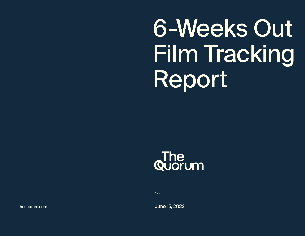# 6-Weeks Out Film Tracking Report

## The<br>Quorum

Date

thequorum.com June 15, 2022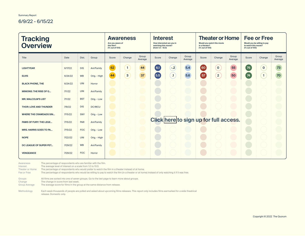## 6/9/22 - 6/15/22

| <b>Tracking<br/>Overview</b>  |         |            |               | Are you aware of<br>this film?<br>(% out of 100) | <b>Awareness</b> |                  | <b>Interest</b><br>How interested are you in<br>watching this movie?<br>(from 1.0 - 10.0) |           |                  | in a theater?<br>(% out of 100) | <b>Theater or Home</b><br>Would you watch this movie |                  | to watch this movie?<br>(% out of 100) | <b>Fee or Free</b><br>Would you be willing to pay |                  |
|-------------------------------|---------|------------|---------------|--------------------------------------------------|------------------|------------------|-------------------------------------------------------------------------------------------|-----------|------------------|---------------------------------|------------------------------------------------------|------------------|----------------------------------------|---------------------------------------------------|------------------|
| <b>Title</b>                  | Date    | Dist.      | Group         | Score                                            | Change           | Group<br>Average | Score                                                                                     | Change    | Group<br>Average | Score                           | Change                                               | Group<br>Average | Score                                  | Change                                            | Group<br>Average |
| <b>LIGHTYEAR</b>              | 6/17/22 | <b>DIS</b> | Ani/Family    | 62                                               | $\mathbf{1}$     | 44               | 6.1                                                                                       | $(-.2)$   | 5.4              | 60                              | $\mathbf 0$                                          | 55               | 76                                     | $\mathbf 0$                                       | 73               |
| <b>ELVIS</b>                  | 6/24/22 | <b>WB</b>  | Orig. - High  | 44                                               | $\mathbf{3}$     | 37               | (5.5)                                                                                     | $\Lambda$ | 5.6              | 57                              | $\overline{\mathbf{2}}$                              | 50               | $\begin{bmatrix} 74 \end{bmatrix}$     | $\vert$ 1                                         | 70               |
| <b>BLACK PHONE, THE</b>       | 6/24/22 | <b>UNI</b> | Horror        |                                                  |                  |                  |                                                                                           |           |                  |                                 |                                                      |                  |                                        |                                                   |                  |
| <b>MINIONS: THE RISE OF G</b> | 7/1/22  | <b>UNI</b> | Ani/Family    |                                                  |                  |                  |                                                                                           |           |                  |                                 |                                                      |                  |                                        |                                                   |                  |
| <b>MR. MALCOLM'S LIST</b>     | 7/1/22  | <b>BST</b> | Orig. - Low   |                                                  |                  |                  |                                                                                           |           |                  |                                 |                                                      |                  |                                        |                                                   |                  |
| <b>THOR: LOVE AND THUNDER</b> | 7/8/22  | <b>DIS</b> | <b>DC/MCU</b> |                                                  |                  |                  |                                                                                           |           |                  |                                 |                                                      |                  |                                        |                                                   |                  |
| <b>WHERE THE CRAWDADS SIN</b> | 7/15/22 | <b>SNY</b> | Orig. - Low   |                                                  |                  |                  |                                                                                           |           |                  |                                 |                                                      |                  |                                        |                                                   |                  |
| PAWS OF FURY: THE LEGE        | 7/15/22 | <b>PAR</b> | Ani/Family    |                                                  |                  |                  | Click here to sign up for full access.                                                    |           |                  |                                 |                                                      |                  |                                        |                                                   |                  |
| <b>MRS. HARRIS GOES TO PA</b> | 7/15/22 | <b>FOC</b> | Orig. - Low   |                                                  |                  |                  |                                                                                           |           |                  |                                 |                                                      |                  |                                        |                                                   |                  |
| <b>NOPE</b>                   | 7/22/22 | <b>UNI</b> | Orig. - High  |                                                  |                  |                  |                                                                                           |           |                  |                                 |                                                      |                  |                                        |                                                   |                  |
| DC LEAGUE OF SUPER PET        | 7/29/22 | <b>WB</b>  | Ani/Family    |                                                  |                  |                  |                                                                                           |           |                  |                                 |                                                      |                  |                                        |                                                   |                  |
| <b>VENGEANCE</b>              | 7/29/22 | <b>FOC</b> | Horror        |                                                  |                  |                  |                                                                                           |           |                  |                                 |                                                      |                  |                                        |                                                   |                  |

| Awareness       | The percentage of respondents who are familiar with the film.                                                                                                                |
|-----------------|------------------------------------------------------------------------------------------------------------------------------------------------------------------------------|
| Interest        | The average level of interest on a scale from 1.0 to 10.0.                                                                                                                   |
| Theater or Home | The percentage of respondents who would prefer to watch the film in a theater instead of at home.                                                                            |
| Fee or Free     | The percentage of respondents who would be willing to pay to watch the film (in a theater or at home) instead of only watching it if it was free.                            |
| Groups          | All films are sorted into one of seven groups. Go to the last page to learn more about groups.                                                                               |
| Change          | The change in score from last week.                                                                                                                                          |
| Group Average   | The average score for films in the group at the same distance from release.                                                                                                  |
| Methodology     | Each week thousands of people are polled and asked about upcoming films releases. This report only includes films earmarked for a wide theatrical<br>release. Domestic only. |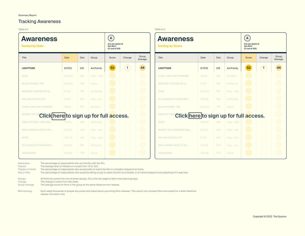Summary Report

### Tracking Awareness

Table A-1. Table A-2.

| <b>Awareness</b><br><b>Sorted by Date</b>                     |         |            |              | $\mathbf{A}$<br>Are you aware of<br>this film?<br>(% out of 100) |              |                  | <b>Awareness</b><br><b>Sorting by Score</b>                  |         |            |              | $\overline{A}$<br>Are you aware of<br>this film?<br>(% out of 100) |              |  |  |
|---------------------------------------------------------------|---------|------------|--------------|------------------------------------------------------------------|--------------|------------------|--------------------------------------------------------------|---------|------------|--------------|--------------------------------------------------------------------|--------------|--|--|
| Title                                                         | Date    | Dist.      | Group        | Score                                                            | Change       | Group<br>Average | Title                                                        | Date    | Dist.      | Group        | <b>Score</b>                                                       | Chang        |  |  |
| <b>LIGHTYEAR</b>                                              | 6/17/22 | <b>DIS</b> | Ani/Family   | 62                                                               | $\mathbf{1}$ | 44               | <b>LIGHTYEAR</b>                                             | 6/17/22 | <b>DIS</b> | Ani/Family   | 62                                                                 | $\mathbf{1}$ |  |  |
| <b>ELVIS</b>                                                  | 6/24/22 | <b>WB</b>  | Orig. - High |                                                                  |              |                  | <b>THOR: LOVE AND THUNDER</b>                                | 7/8/22  | <b>DIS</b> | DC/MCU       |                                                                    |              |  |  |
| <b>BLACK PHONE, THE</b>                                       | 6/24/22 | <b>UNI</b> | Horror       |                                                                  |              |                  | MINIONS: THE RISE OF G                                       | 7/1/22  | UNI        | Ani/Family   |                                                                    |              |  |  |
| MINIONS: THE RISE OF G                                        | 7/1/22  | <b>UNI</b> | Ani/Family   |                                                                  |              |                  | <b>ELVIS</b>                                                 | 6/24/22 | <b>WB</b>  | Orig. - High |                                                                    |              |  |  |
| <b>MR. MALCOLM'S LIST</b>                                     | 7/1/22  | <b>BST</b> | Orig. - Low  |                                                                  |              |                  | DC LEAGUE OF SUPER PET                                       | 7/29/22 | <b>WB</b>  | Ani/Family   |                                                                    |              |  |  |
| <b>THOR: LOVE AND THUNDER</b>                                 | 7/8/22  | <b>DIS</b> | DC/MCU       |                                                                  |              |                  | <b>BLACK PHONE, THE</b>                                      | 6/24/22 | UNI        | Horror       |                                                                    |              |  |  |
| <b>WHERE THE CI</b><br>Click here to sign up for full access. |         |            |              |                                                                  |              |                  | <b>PAWS OF FUR</b><br>Click here to sign up for full access. |         |            |              |                                                                    |              |  |  |
| PAWS OF FURY: THE LEGE                                        | 7/15/22 | <b>PAR</b> | Ani/Family   |                                                                  |              |                  | <b>NOPE</b>                                                  | 7/22/22 | UNI        | Orig. - High |                                                                    |              |  |  |
| <b>MRS. HARRIS GOES TO PA</b>                                 | 7/15/22 | FOC        | Orig. - Low  |                                                                  |              |                  | <b>WHERE THE CRAWDADS SIN</b>                                | 7/15/22 | SNY        | Orig. - Low  |                                                                    |              |  |  |
| <b>NOPE</b>                                                   | 7/22/22 | <b>UNI</b> | Orig. - High |                                                                  |              |                  | <b>MR. MALCOLM'S LIST</b>                                    | 7/1/22  | <b>BST</b> | Orig. - Low  |                                                                    |              |  |  |
| DC LEAGUE OF SUPER PET                                        | 7/29/22 | <b>WB</b>  | Ani/Family   |                                                                  |              |                  | MRS, HARRIS GOES TO PA                                       | 7/15/22 | FOC        | Orig. - Low  |                                                                    |              |  |  |
| <b>VENGEANCE</b>                                              | 7/29/22 | FOC        | Horror       |                                                                  |              |                  | <b>VENGEANCE</b>                                             | 7/29/22 | FOC        | Horror       |                                                                    |              |  |  |

|                                           |              |                  | $1$ MMIV $\Gamma$ 1 $\sim$                                  |         |            |               |       |              |                  |  |  |
|-------------------------------------------|--------------|------------------|-------------------------------------------------------------|---------|------------|---------------|-------|--------------|------------------|--|--|
| e you aware of<br>s film?<br>out of $100$ |              |                  | <b>Awareness</b><br><b>Sorting by Score</b>                 |         |            |               |       |              |                  |  |  |
| Score                                     | Change       | Group<br>Average | Title                                                       | Date    | Dist.      | Group         | Score | Change       | Group<br>Average |  |  |
| 62                                        | $\mathbf{1}$ | 44               | <b>LIGHTYEAR</b>                                            | 6/17/22 | <b>DIS</b> | Ani/Family    | 62    | $\mathbf{1}$ | 44               |  |  |
|                                           |              |                  | <b>THOR: LOVE AND THUNDER</b>                               | 7/8/22  | <b>DIS</b> | <b>DC/MCU</b> |       |              |                  |  |  |
|                                           |              |                  | <b>MINIONS: THE RISE OF G</b>                               | 7/1/22  | <b>UNI</b> | Ani/Family    |       |              |                  |  |  |
|                                           |              |                  | <b>ELVIS</b>                                                | 6/24/22 | <b>WB</b>  | Orig. - High  |       |              |                  |  |  |
|                                           |              |                  | DC LEAGUE OF SUPER PET                                      | 7/29/22 | <b>WB</b>  | Ani/Family    |       |              |                  |  |  |
|                                           |              |                  | <b>BLACK PHONE, THE</b>                                     | 6/24/22 | UNI        | Horror        |       |              |                  |  |  |
|                                           | access.      |                  | <b>PANIS OF FURY Click here to sign up for full access.</b> |         |            |               |       |              |                  |  |  |
|                                           |              |                  | <b>NOPE</b>                                                 | 7/22/22 | <b>UNI</b> | Orig. - High  |       |              |                  |  |  |
|                                           |              |                  | <b>WHERE THE CRAWDADS SIN</b>                               | 7/15/22 | SNY        | Orig. - Low   |       |              |                  |  |  |
|                                           |              |                  | <b>MR. MALCOLM'S LIST</b>                                   | 7/1/22  | <b>BST</b> | Orig. - Low   |       |              |                  |  |  |
|                                           |              |                  | MRS. HARRIS GOES TO PA                                      | 7/15/22 | FOC        | Orig. - Low   |       |              |                  |  |  |
|                                           |              |                  | <b>VENGEANCE</b>                                            | 7/29/22 | FOC        | Horror        |       |              |                  |  |  |

| Awareness       | The percentage of respondents who are familiar with the film.                                                                                                                |
|-----------------|------------------------------------------------------------------------------------------------------------------------------------------------------------------------------|
| Interest        | The average level of interest on a scale from 1.0 to 10.0.                                                                                                                   |
| Theater or Home | The percentage of respondents who would prefer to watch the film in a theater instead of at home.                                                                            |
| Fee or Free     | The percentage of respondents who would be willing to pay to watch the film (in a theater or at home) instead of only watching it if it was free.                            |
| Groups          | All films are sorted into one of seven groups. Go to the last page to learn more about groups.                                                                               |
| Change          | The change in score from last week.                                                                                                                                          |
| Group Average   | The average score for films in the group at the same distance from release.                                                                                                  |
| Methodology     | Each week thousands of people are polled and asked about upcoming films releases. This report only includes films earmarked for a wide theatrical<br>release. Domestic only. |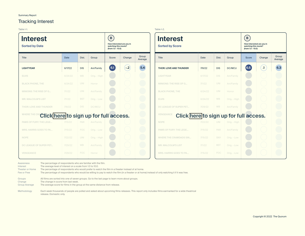#### Summary Report

### Tracking Interest

| <b>Interest</b><br><b>Sorted by Date</b>                      |         |            |              | (B)<br>How interested are you in<br>watching this movie?<br>(from 1.0 - 10.0) |                    |                  | <b>Interest</b><br><b>Sorted by Score</b>                  |         |            |              |       | (B)<br>How interested are you in<br>watching this movie?<br>(from 1.0 - 10.0) |                  |  |  |
|---------------------------------------------------------------|---------|------------|--------------|-------------------------------------------------------------------------------|--------------------|------------------|------------------------------------------------------------|---------|------------|--------------|-------|-------------------------------------------------------------------------------|------------------|--|--|
| Title                                                         | Date    | Dist.      | Group        | Score                                                                         | Change             | Group<br>Average | Title                                                      | Date    | Dist.      | Group        | Score | Change                                                                        | Group<br>Average |  |  |
| <b>LIGHTYEAR</b>                                              | 6/17/22 | <b>DIS</b> | Ani/Family   | 6.1                                                                           | $\left( -2\right)$ | 5.4              | <b>THOR: LOVE AND THUNDER</b>                              | 7/8/22  | <b>DIS</b> | DC/MCU       | 6.5   | $\Lambda$                                                                     | 6.3              |  |  |
| <b>ELVIS</b>                                                  | 6/24/22 | <b>WB</b>  | Orig. - High |                                                                               |                    |                  | <b>LIGHTYEAR</b>                                           | 6/17/22 | <b>DIS</b> | Ani/Family   |       |                                                                               |                  |  |  |
| <b>BLACK PHONE, THE</b>                                       | 6/24/22 | <b>UNI</b> | Horror       |                                                                               |                    |                  | <b>MINIONS: THE RISE OF G</b>                              | 7/1/22  | <b>UNI</b> | Ani/Family   |       |                                                                               |                  |  |  |
| MINIONS: THE RISE OF G                                        | 7/1/22  | <b>UNI</b> | Ani/Family   |                                                                               |                    |                  | <b>BLACK PHONE, THE</b>                                    | 6/24/22 | <b>UNI</b> | Horror       |       |                                                                               |                  |  |  |
| <b>MR. MALCOLM'S LIST</b>                                     | 7/1/22  | <b>BST</b> | Orig. - Low  |                                                                               |                    |                  | <b>ELVIS</b>                                               | 6/24/22 | <b>WB</b>  | Orig. - High |       |                                                                               |                  |  |  |
| <b>THOR: LOVE AND THUNDER</b>                                 | 7/8/22  | <b>DIS</b> | DC/MCU       |                                                                               |                    |                  | DC LEAGUE OF SUPER PET                                     | 7/29/22 | <b>WB</b>  | Ani/Family   |       |                                                                               |                  |  |  |
| <b>WHERE THE CR</b><br>Click here to sign up for full access. |         |            |              |                                                                               |                    |                  | <b>VENGEANCE</b><br>Click here to sign up for full access. |         |            |              |       |                                                                               |                  |  |  |
| PAWS OF FURY: THE LEGE                                        | 7/15/22 | <b>PAR</b> | Ani/Family   |                                                                               |                    |                  | <b>NOPE</b>                                                | 7/22/22 | <b>UNI</b> | Orig. - High |       |                                                                               |                  |  |  |
| <b>MRS. HARRIS GOES TO PA</b>                                 | 7/15/22 | FOC        | Orig. - Low  |                                                                               |                    |                  | PAWS OF FURY: THE LEGE                                     | 7/15/22 | PAR        | Ani/Family   |       |                                                                               |                  |  |  |
| <b>NOPE</b>                                                   | 7/22/22 | UNI        | Orig. - High |                                                                               |                    |                  | <b>WHERE THE CRAWDADS SIN</b>                              | 7/15/22 | SNY        | Orig. - Low  |       |                                                                               |                  |  |  |
| DC LEAGUE OF SUPER PET                                        | 7/29/22 | <b>WB</b>  | Ani/Family   |                                                                               |                    |                  | <b>MR. MALCOLM'S LIST</b>                                  | 7/1/22  | <b>BST</b> | Orig. - Low  |       |                                                                               |                  |  |  |
| VENGEANCE                                                     | 7/29/22 | <b>FOC</b> | Horror       |                                                                               |                    |                  | <b>MRS. HARRIS GOES TO PA</b>                              | 7/15/22 | FOC        | Orig. - Low  |       |                                                                               |                  |  |  |

Theater or Home The percentage of respondents who would prefer to watch the film in a theater instead of at home.

Fee or Free The percentage of respondents who would be willing to pay to watch the film (in a theater or at home) instead of only watching it if it was free.

| <b>Groups</b> | All films are sorted into one of seven groups. Go to the last page to learn more about groups. |
|---------------|------------------------------------------------------------------------------------------------|
| Change        | The change in score from last week.                                                            |
| Group Average | The average score for films in the group at the same distance from release.                    |
|               |                                                                                                |

Methodology Each week thousands of people are polled and asked about upcoming films releases. This report only includes films earmarked for a wide theatrical release. Domestic only.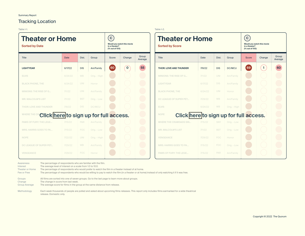### Tracking Location

| <b>Theater or Home</b><br><b>Sorted by Date</b>               |             |            |              | $(\mathsf{c})$<br>Would you watch this movie<br>in a theater?<br>(% out of 100) |                |                  | <b>Theater or Home</b><br><b>Sorted by Score</b>      |         |            |               |       | (c)<br>Would you watch this movie<br>in a theater?<br>(% out of 100) |                  |  |  |
|---------------------------------------------------------------|-------------|------------|--------------|---------------------------------------------------------------------------------|----------------|------------------|-------------------------------------------------------|---------|------------|---------------|-------|----------------------------------------------------------------------|------------------|--|--|
| Title                                                         | <b>Date</b> | Dist.      | Group        | Score                                                                           | Change         | Group<br>Average | <b>Title</b>                                          | Date    | Dist.      | Group         | Score | Change                                                               | Group<br>Average |  |  |
| <b>LIGHTYEAR</b>                                              | 6/17/22     | <b>DIS</b> | Ani/Family   | 60                                                                              | $\overline{0}$ | 55               | <b>THOR: LOVE AND THUNDER</b>                         | 7/8/22  | <b>DIS</b> | <b>DC/MCU</b> | 69    | $\left( \mathbf{1} \right)$                                          | 60               |  |  |
| <b>ELVIS</b>                                                  | 6/24/22     | <b>WB</b>  | Orig. - High |                                                                                 |                |                  | MINIONS: THE RISE OF G                                | 7/1/22  | <b>UNI</b> | Ani/Family    |       |                                                                      |                  |  |  |
| <b>BLACK PHONE, THE</b>                                       | 6/24/22     | <b>UNI</b> | Horror       |                                                                                 |                |                  | <b>LIGHTYEAR</b>                                      | 6/17/22 | <b>DIS</b> | Ani/Family    |       |                                                                      |                  |  |  |
| MINIONS: THE RISE OF G                                        | 7/1/22      | <b>UNI</b> | Ani/Family   |                                                                                 |                |                  | <b>BLACK PHONE, THE</b>                               | 6/24/22 | <b>UNI</b> | Horror        |       |                                                                      |                  |  |  |
| <b>MR. MALCOLM'S LIST</b>                                     | 7/1/22      | <b>BST</b> | Orig. - Low  |                                                                                 |                |                  | DC LEAGUE OF SUPER PET                                | 7/29/22 | <b>WB</b>  | Ani/Family    |       |                                                                      |                  |  |  |
| <b>THOR: LOVE AND THUNDER</b>                                 | 7/8/22      | <b>DIS</b> | DC/MCU       |                                                                                 |                |                  | <b>ELVIS</b>                                          | 6/24/22 | <b>WB</b>  | Orig. - High  |       |                                                                      |                  |  |  |
| Click here to sign up for full access.<br><b>WHERE THE CF</b> |             |            |              |                                                                                 |                |                  | <b>NOPE</b><br>Click here to sign up for full access. |         |            |               |       |                                                                      |                  |  |  |
| PAWS OF FURY: THE LEGE                                        | 7/15/22     | <b>PAR</b> | Ani/Family   |                                                                                 |                |                  | <b>WHERE THE CRAWDADS SIN</b>                         | 7/15/22 | SNY        | Orig. - Low   |       |                                                                      |                  |  |  |
| <b>MRS, HARRIS GOES TO PA</b>                                 | 7/15/22     | FOC        | Orig. - Low  |                                                                                 |                |                  | <b>MR. MALCOLM'S LIST</b>                             | 7/1/22  | <b>BST</b> | Orig. - Low   |       |                                                                      |                  |  |  |
| <b>NOPE</b>                                                   | 7/22/22     | UNI        | Orig. - High |                                                                                 |                |                  | <b>VENGEANCE</b>                                      | 7/29/22 | FOC        | Horror        |       |                                                                      |                  |  |  |
| DC LEAGUE OF SUPER PET                                        | 7/29/22     | <b>WB</b>  | Ani/Family   |                                                                                 |                |                  | MRS, HARRIS GOES TO PA                                | 7/15/22 | FOC        | Orig. - Low   |       |                                                                      |                  |  |  |
| <b>VENGEANCE</b>                                              | 7/29/22     | FOC        | Horror       |                                                                                 |                |                  | PAWS OF FURY: THE LEGE                                | 7/15/22 | PAR        | Ani/Family    |       |                                                                      |                  |  |  |

Theater or Home The percentage of respondents who would prefer to watch the film in a theater instead of at home.

Fee or Free The percentage of respondents who would be willing to pay to watch the film (in a theater or at home) instead of only watching it if it was free.

| <b>Groups</b> | All films are sorted into one of seven groups. Go to the last page to learn more about groups. |
|---------------|------------------------------------------------------------------------------------------------|
| Change        | The change in score from last week.                                                            |
| Group Average | The average score for films in the group at the same distance from release.                    |
|               |                                                                                                |

Methodology Each week thousands of people are polled and asked about upcoming films releases. This report only includes films earmarked for a wide theatrical release. Domestic only.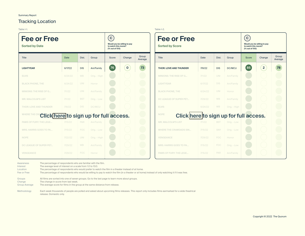#### Summary Report

### Tracking Location

| <b>Fee or Free</b><br><b>Sorted by Date</b>                   |         |            |              | $\overline{c}$<br>Would you be willing to pay<br>to watch this movie?<br>(% out of 100) |                |                  | <b>Fee or Free</b><br><b>Sorted by Score</b>          |         |            |               |       | $(\mathsf{c})$<br>Would you be willing to pay<br>to watch this movie?<br>(% out of 100) |                  |  |  |
|---------------------------------------------------------------|---------|------------|--------------|-----------------------------------------------------------------------------------------|----------------|------------------|-------------------------------------------------------|---------|------------|---------------|-------|-----------------------------------------------------------------------------------------|------------------|--|--|
| Title                                                         | Date    | Dist.      | Group        | Score                                                                                   | Change         | Group<br>Average | Title                                                 | Date    | Dist.      | Group         | Score | Change                                                                                  | Group<br>Average |  |  |
| <b>LIGHTYEAR</b>                                              | 6/17/22 | <b>DIS</b> | Ani/Family   | $\left(76\right)$                                                                       | $\overline{0}$ | 73               | <b>THOR: LOVE AND THUNDER</b>                         | 7/8/22  | <b>DIS</b> | <b>DC/MCU</b> | (85)  | $\overline{2}$                                                                          | 78               |  |  |
| <b>ELVIS</b>                                                  | 6/24/22 | <b>WB</b>  | Orig. - High |                                                                                         |                |                  | MINIONS: THE RISE OF G                                | 7/1/22  | UNI        | Ani/Family    |       |                                                                                         |                  |  |  |
| <b>BLACK PHONE, THE</b>                                       | 6/24/22 | UNI        | Horror       |                                                                                         |                |                  | <b>LIGHTYEAR</b>                                      | 6/17/22 | <b>DIS</b> | Ani/Family    |       |                                                                                         |                  |  |  |
| MINIONS: THE RISE OF G                                        | 7/1/22  | <b>UNI</b> | Ani/Family   |                                                                                         |                |                  | <b>BLACK PHONE, THE</b>                               | 6/24/22 | <b>UNI</b> | Horror        |       |                                                                                         |                  |  |  |
| <b>MR. MALCOLM'S LIST</b>                                     | 7/1/22  | <b>BST</b> | Orig. - Low  |                                                                                         |                |                  | DC LEAGUE OF SUPER PET                                | 7/29/22 | <b>WB</b>  | Ani/Family    |       |                                                                                         |                  |  |  |
| <b>THOR: LOVE AND THUNDER</b>                                 | 7/8/22  | <b>DIS</b> | DC/MCU       |                                                                                         |                |                  | <b>ELVIS</b>                                          | 6/24/22 | <b>WB</b>  | Orig. - High  |       |                                                                                         |                  |  |  |
| <b>WHERE THE CR</b><br>Click here to sign up for full access. |         |            |              |                                                                                         |                |                  | <b>NOPE</b><br>Click here to sign up for full access. |         |            |               |       |                                                                                         |                  |  |  |
| PAWS OF FURY: THE LEGE                                        | 7/15/22 | <b>PAR</b> | Ani/Family   |                                                                                         |                |                  | <b>MR. MALCOLM'S LIST</b>                             | 7/1/22  | <b>BST</b> | Orig. - Low   |       |                                                                                         |                  |  |  |
| <b>MRS. HARRIS GOES TO PA</b>                                 | 7/15/22 | FOC        | Orig. - Low  |                                                                                         |                |                  | <b>WHERE THE CRAWDADS SIN</b>                         | 7/15/22 | SNY        | Orig. - Low   |       |                                                                                         |                  |  |  |
| <b>NOPE</b>                                                   | 7/22/22 | UNI        | Orig. - High |                                                                                         |                |                  | <b>VENGEANCE</b>                                      | 7/29/22 | FOC        | Horror        |       |                                                                                         |                  |  |  |
| DC LEAGUE OF SUPER PET                                        | 7/29/22 | <b>WB</b>  | Ani/Family   |                                                                                         |                |                  | MRS, HARRIS GOES TO PA                                | 7/15/22 | FOC        | Orig. - Low   |       |                                                                                         |                  |  |  |
| <b>VENGEANCE</b>                                              | 7/29/22 | FOC        | Horror       |                                                                                         |                |                  | <b>PAWS OF FURY: THE LEGE</b>                         | 7/15/22 | PAR        | Ani/Family    |       |                                                                                         |                  |  |  |

|             | the contract of the contract of the contract of the contract of the contract of the contract of the contract of                                   |  |  |
|-------------|---------------------------------------------------------------------------------------------------------------------------------------------------|--|--|
| Fee or Free | The percentage of respondents who would be willing to pay to watch the film (in a theater or at home) instead of only watching it if it was free. |  |  |

| <b>Groups</b> | All films are sorted into one of seven groups. Go to the last page to learn more about groups. |
|---------------|------------------------------------------------------------------------------------------------|

Change The change in score from last week.

Group Average The average score for films in the group at the same distance from release.

Methodology Each week thousands of people are polled and asked about upcoming films releases. This report only includes films earmarked for a wide theatrical release. Domestic only.